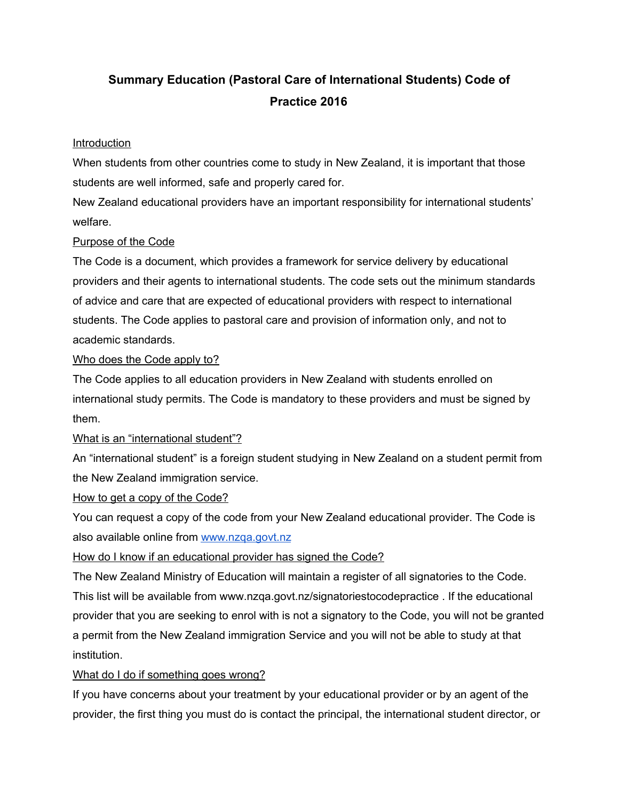# **Summary Education (Pastoral Care of International Students) Code of Practice 2016**

### Introduction

When students from other countries come to study in New Zealand, it is important that those students are well informed, safe and properly cared for.

New Zealand educational providers have an important responsibility for international students' welfare.

### Purpose of the Code

The Code is a document, which provides a framework for service delivery by educational providers and their agents to international students. The code sets out the minimum standards of advice and care that are expected of educational providers with respect to international students. The Code applies to pastoral care and provision of information only, and not to academic standards.

### Who does the Code apply to?

The Code applies to all education providers in New Zealand with students enrolled on international study permits. The Code is mandatory to these providers and must be signed by them.

## What is an "international student"?

An "international student" is a foreign student studying in New Zealand on a student permit from the New Zealand immigration service.

#### How to get a copy of the Code?

You can request a copy of the code from your New Zealand educational provider. The Code is also available online from [www.nzqa.govt.nz](http://www.nzqa.govt.nz/)

How do I know if an educational provider has signed the Code?

The New Zealand Ministry of Education will maintain a register of all signatories to the Code. This list will be available from www.nzqa.govt.nz/signatoriestocodepractice . If the educational provider that you are seeking to enrol with is not a signatory to the Code, you will not be granted a permit from the New Zealand immigration Service and you will not be able to study at that institution.

## What do I do if something goes wrong?

If you have concerns about your treatment by your educational provider or by an agent of the provider, the first thing you must do is contact the principal, the international student director, or